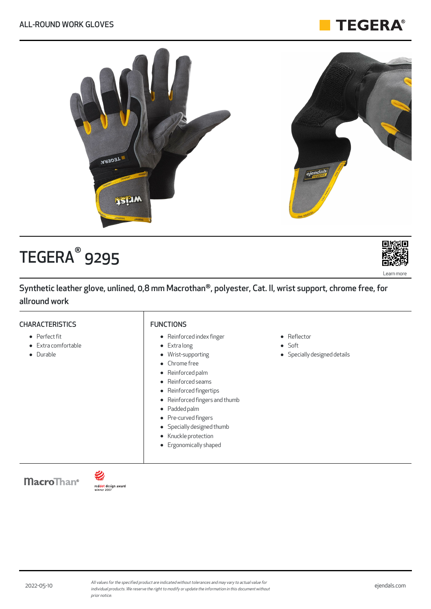### **TEGERA®**



# ${\sf TEGERA}^\circ$  9295

Synthetic leather glove, unlined, 0,8 mm Macrothan®, polyester, Cat. II, wrist support, chrome free, for allround work

#### **CHARACTERISTICS**

#### Perfect fit

- Extra comfortable
- **•** Durable

#### FUNCTIONS

- Reinforced index finger
- Extra long
- Wrist-supporting
- Chrome free
- Reinforced palm
- Reinforced seams
- $\bullet$ Reinforced fingertips
- Reinforced fingers and thumb  $\bullet$
- Padded palm
- Pre-curved fingers  $\bullet$
- Specially designed thumb
- Knuckle protection
- **•** Ergonomically shaped
- Reflector
- Soft
- Specially designed details

**MacroThan**<sup>®</sup>



Learn more